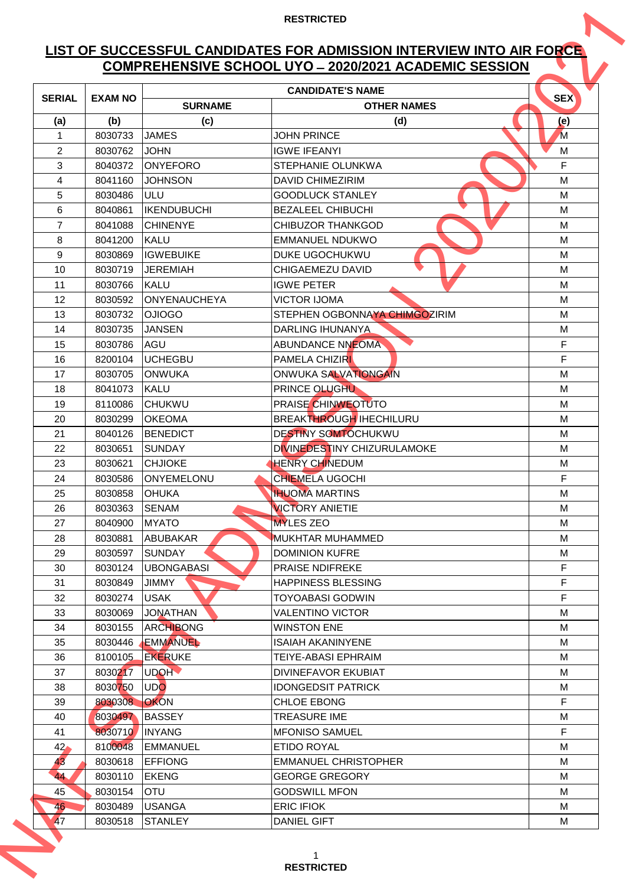# **LIST OF SUCCESSFUL CANDIDATES FOR ADMISSION INTERVIEW INTO AIR FORCE COMPREHENSIVE SCHOOL UYO ̶2020/2021 ACADEMIC SESSION**

|                 |                    |                            | <b>COMPREHENSIVE SCHOOL UYO - 2020/2021 ACADEMIC SESSION</b> |            |
|-----------------|--------------------|----------------------------|--------------------------------------------------------------|------------|
|                 |                    |                            | <b>CANDIDATE'S NAME</b>                                      |            |
| <b>SERIAL</b>   | <b>EXAM NO</b>     | <b>SURNAME</b>             | <b>OTHER NAMES</b>                                           | <b>SEX</b> |
| (a)             | (b)                | (c)                        | (d)                                                          | (e)        |
| 1               | 8030733            | <b>JAMES</b>               | <b>JOHN PRINCE</b>                                           | M          |
| $\overline{2}$  | 8030762            | <b>JOHN</b>                | <b>IGWE IFEANYI</b>                                          | M          |
| 3               | 8040372            | <b>ONYEFORO</b>            | <b>STEPHANIE OLUNKWA</b>                                     | F          |
| 4               | 8041160            | <b>JOHNSON</b>             | <b>DAVID CHIMEZIRIM</b>                                      | M          |
| 5               | 8030486            | ULU                        | <b>GOODLUCK STANLEY</b>                                      | M          |
| 6               | 8040861            | <b>IKENDUBUCHI</b>         | <b>BEZALEEL CHIBUCHI</b>                                     | M          |
| $\overline{7}$  | 8041088            | <b>CHINENYE</b>            | <b>CHIBUZOR THANKGOD</b>                                     | M          |
| 8               | 8041200            | <b>KALU</b>                | EMMANUEL NDUKWO                                              | M          |
| 9               | 8030869            | <b>IIGWEBUIKE</b>          | <b>DUKE UGOCHUKWU</b>                                        | M          |
| 10              | 8030719            | <b>JEREMIAH</b>            | CHIGAEMEZU DAVID                                             | M          |
| 11              | 8030766            | <b>KALU</b>                | <b>IGWE PETER</b>                                            | M          |
| 12              | 8030592            | <b>ONYENAUCHEYA</b>        | <b>VICTOR IJOMA</b>                                          | M          |
| 13              | 8030732            | <b>OJIOGO</b>              | STEPHEN OGBONNAYA CHIMGOZIRIM                                | M          |
| 14              | 8030735            | <b>JANSEN</b>              | <b>DARLING IHUNANYA</b>                                      | M          |
| 15              | 8030786            | AGU                        | <b>ABUNDANCE NNEOMA</b>                                      | F          |
| 16              | 8200104            | <b>UCHEGBU</b>             | <b>PAMELA CHIZIRI</b>                                        | F          |
| 17              | 8030705            | <b>ONWUKA</b>              | ONWUKA SALVATIONGAIN                                         | M          |
| 18              | 8041073            | <b>KALU</b>                | PRINCE OLUGHU<br>PRAISE CHINWEOTUTO                          | M<br>M     |
| 19              | 8110086            | <b>CHUKWU</b>              | <b>BREAKTHROUGH IHECHILURU</b>                               |            |
| 20<br>21        | 8030299<br>8040126 | IOKEOMA<br><b>BENEDICT</b> | <b>DESTINY SOMTOCHUKWU</b>                                   | M<br>M     |
| 22              | 8030651            | <b>SUNDAY</b>              | DIVINEDESTINY CHIZURULAMOKE                                  | M          |
| 23              | 8030621            | <b>CHJIOKE</b>             | <b>HENRY CHINEDUM</b>                                        | M          |
| 24              | 8030586            | ONYEMELONU                 | <b>CHIEMELA UGOCHI</b>                                       | F          |
| 25              | 8030858            | <b>OHUKA</b>               | <b>IHUOMA MARTINS</b>                                        | м          |
| 26              | 8030363            | <b>SENAM</b>               | <b>VICTORY ANIETIE</b>                                       | м          |
| 27              | 8040900            | <b>MYATO</b>               | <b>MYLES ZEO</b>                                             | M          |
| 28              | 8030881            | ABUBAKAR                   | <b>MUKHTAR MUHAMMED</b>                                      | M          |
| 29              | 8030597            | <b>SUNDAY</b>              | <b>DOMINION KUFRE</b>                                        | M          |
| 30              | 8030124            | <b>UBONGABASI</b>          | <b>PRAISE NDIFREKE</b>                                       | F.         |
| 31              | 8030849            | <b>JIMMY</b>               | <b>HAPPINESS BLESSING</b>                                    | F          |
| 32              | 8030274            | <b>USAK</b>                | <b>TOYOABASI GODWIN</b>                                      | F          |
| 33              | 8030069            | <b>JONATHAN</b>            | <b>VALENTINO VICTOR</b>                                      | M          |
| 34              | 8030155            | ARCHIBONG                  | <b>WINSTON ENE</b>                                           | м          |
| 35              | 8030446            | <b>EMMANUEL</b>            | <b>ISAIAH AKANINYENE</b>                                     | М          |
| 36              | 8100105            | <b>EKERUKE</b>             | <b>TEIYE-ABASI EPHRAIM</b>                                   | M          |
| 37              | 8030217            | UDOH <b>V</b>              | DIVINEFAVOR EKUBIAT                                          | м          |
| 38              | 8030750            | UDO                        | <b>IDONGEDSIT PATRICK</b>                                    | M          |
| 39              | 8030308            | <b>OKON</b>                | <b>CHLOE EBONG</b>                                           | F          |
| 40              | 8030497            | <b>BASSEY</b>              | <b>TREASURE IME</b>                                          | м          |
| 41              | 8030710            | <b>INYANG</b>              | <b>MFONISO SAMUEL</b>                                        | F          |
| 42 <sub>o</sub> | 8100048            | <b>EMMANUEL</b>            | ETIDO ROYAL                                                  | М          |
| 43              | 8030618            | <b>EFFIONG</b>             | <b>EMMANUEL CHRISTOPHER</b>                                  | М          |
| 44              | 8030110            | <b>EKENG</b>               | <b>GEORGE GREGORY</b>                                        | M          |
| 45              | 8030154            | <b>OTU</b>                 | <b>GODSWILL MFON</b>                                         | М          |
| 46.             | 8030489            | <b>USANGA</b>              | <b>ERIC IFIOK</b>                                            | M          |
| <b>47</b>       | 8030518            | <b>STANLEY</b>             | <b>DANIEL GIFT</b>                                           | M          |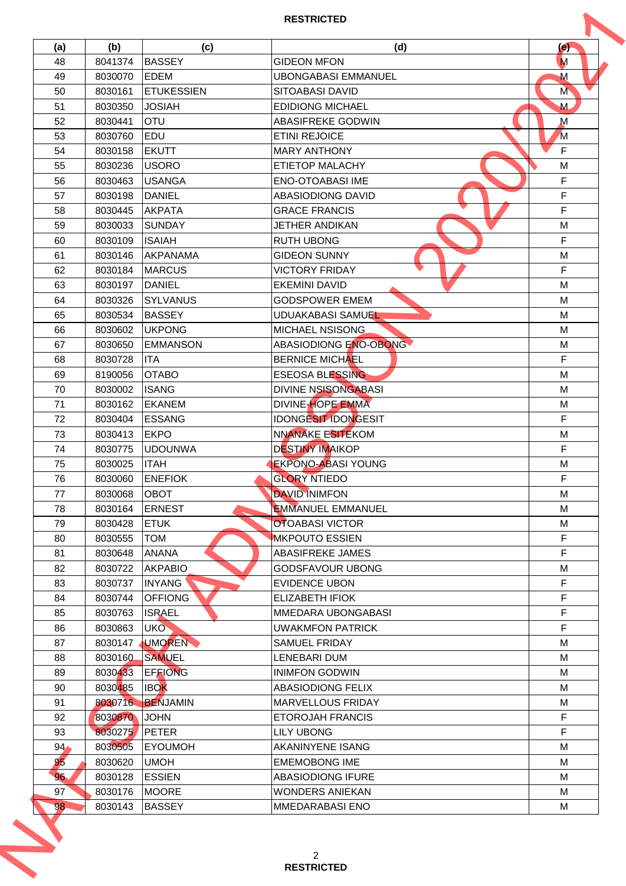| (a)                   | (b)     | (c)               | (d)                        | (e)            |
|-----------------------|---------|-------------------|----------------------------|----------------|
| 48                    | 8041374 | <b>BASSEY</b>     | <b>GIDEON MFON</b>         | M              |
| 49                    | 8030070 | <b>EDEM</b>       | <b>UBONGABASI EMMANUEL</b> | M              |
| 50                    | 8030161 | <b>ETUKESSIEN</b> | <b>SITOABASI DAVID</b>     | M              |
| 51                    | 8030350 | <b>JOSIAH</b>     | <b>EDIDIONG MICHAEL</b>    | M              |
| 52                    | 8030441 | <b>OTU</b>        | ABASIFREKE GODWIN          | $\mathsf{M}$   |
| 53                    | 8030760 | <b>EDU</b>        | <b>ETINI REJOICE</b>       | $\overline{M}$ |
| 54                    | 8030158 | <b>EKUTT</b>      | <b>MARY ANTHONY</b>        | F              |
| 55                    | 8030236 | <b>IUSORO</b>     | ETIETOP MALACHY            | M              |
| 56                    | 8030463 | <b>USANGA</b>     | <b>ENO-OTOABASI IME</b>    | F              |
| 57                    | 8030198 | <b>DANIEL</b>     | <b>ABASIODIONG DAVID</b>   | F              |
| 58                    | 8030445 | <b>AKPATA</b>     | <b>GRACE FRANCIS</b>       | F              |
| 59                    | 8030033 | SUNDAY            | <b>JETHER ANDIKAN</b>      | M              |
| 60                    | 8030109 | <b>ISAIAH</b>     | <b>RUTH UBONG</b>          | F              |
| 61                    | 8030146 | AKPANAMA          | <b>GIDEON SUNNY</b>        | M              |
| 62                    | 8030184 | <b>MARCUS</b>     | <b>VICTORY FRIDAY</b>      | F              |
|                       |         |                   |                            | M              |
| 63                    | 8030197 | <b>DANIEL</b>     | <b>EKEMINI DAVID</b>       |                |
| 64                    | 8030326 | <b>SYLVANUS</b>   | <b>GODSPOWER EMEM</b>      | M              |
| 65                    | 8030534 | <b>BASSEY</b>     | <b>UDUAKABASI SAMUEL</b>   | M              |
| 66                    | 8030602 | <b>UKPONG</b>     | <b>MICHAEL NSISONG</b>     | M              |
| 67                    | 8030650 | <b>EMMANSON</b>   | ABASIODIONG ENO-OBONG      | M              |
| 68                    | 8030728 | <b>ITA</b>        | <b>BERNICE MICHAEL</b>     | F              |
| 69                    | 8190056 | <b>OTABO</b>      | <b>ESEOSA BLESSING</b>     | M              |
| 70                    | 8030002 | <b>ISANG</b>      | <b>DIVINE NSISONGABASI</b> | M              |
| 71                    | 8030162 | <b>EKANEM</b>     | <b>DIVINE-HOPE EMMA</b>    | M              |
| 72                    | 8030404 | <b>ESSANG</b>     | <b>IDONGESIT IDONGESIT</b> | F              |
| 73                    | 8030413 | <b>EKPO</b>       | NNANAKE ESITEKOM           | M              |
| 74                    | 8030775 | <b>UDOUNWA</b>    | <b>DESTINY IMAIKOP</b>     | F              |
| 75                    | 8030025 | <b>ITAH</b>       | <b>EKPONO-ABASI YOUNG</b>  | M              |
| 76                    | 8030060 | <b>ENEFIOK</b>    | <b>GLORY NTIEDO</b>        | F              |
| 77                    | 8030068 | OBOT              | <b>DAVID INIMFON</b>       | M              |
| 78                    | 8030164 | <b>ERNEST</b>     | <b>EMMANUEL EMMANUEL</b>   | M              |
| 79                    | 8030428 | <b>ETUK</b>       | <b>OTOABASI VICTOR</b>     | M              |
| 80                    | 8030555 | <b>TOM</b>        | <b>MKPOUTO ESSIEN</b>      | F              |
| 81                    | 8030648 | <b>ANANA</b>      | <b>ABASIFREKE JAMES</b>    | F              |
| 82                    | 8030722 | <b>AKPABIO</b>    | <b>GODSFAVOUR UBONG</b>    | M              |
| 83                    | 8030737 | <b>INYANG</b>     | <b>EVIDENCE UBON</b>       | F.             |
| 84                    | 8030744 | <b>OFFIONG</b>    | <b>ELIZABETH IFIOK</b>     | F              |
| 85                    | 8030763 | <b>ISRAEL</b>     | <b>MMEDARA UBONGABASI</b>  | F              |
| 86                    | 8030863 | UKO               | <b>UWAKMFON PATRICK</b>    | F              |
| 87                    | 8030147 | <b>UMOREN</b>     | <b>SAMUEL FRIDAY</b>       | M              |
| 88                    | 8030160 | <b>SAMUEL</b>     | LENEBARI DUM               | M              |
| 89                    | 8030433 | <b>EFFIONG</b>    | <b>INIMFON GODWIN</b>      | м              |
| 90                    | 8030485 | <b>IBOK</b>       | IABASIODIONG FELIX         | м              |
| 91                    | 8030716 | BENJAMIN          | <b>MARVELLOUS FRIDAY</b>   | М              |
| 92                    | 8030870 | <b>JOHN</b>       | <b>ETOROJAH FRANCIS</b>    | F              |
| 93                    | 8030275 | <b>PETER</b>      | <b>LILY UBONG</b>          | F              |
|                       |         | <b>IEYOUMOH</b>   | <b>AKANINYENE ISANG</b>    | M              |
| 94 <sub>•</sub><br>95 | 8030505 | <b>UMOH</b>       |                            |                |
|                       | 8030620 |                   | <b>EMEMOBONG IME</b>       | M              |
| 96                    | 8030128 | <b>ESSIEN</b>     | <b>ABASIODIONG IFURE</b>   | M              |
| 97<br>98              | 8030176 | <b>MOORE</b>      | <b>WONDERS ANIEKAN</b>     | M              |
|                       | 8030143 | <b>BASSEY</b>     | <b>MMEDARABASI ENO</b>     | м              |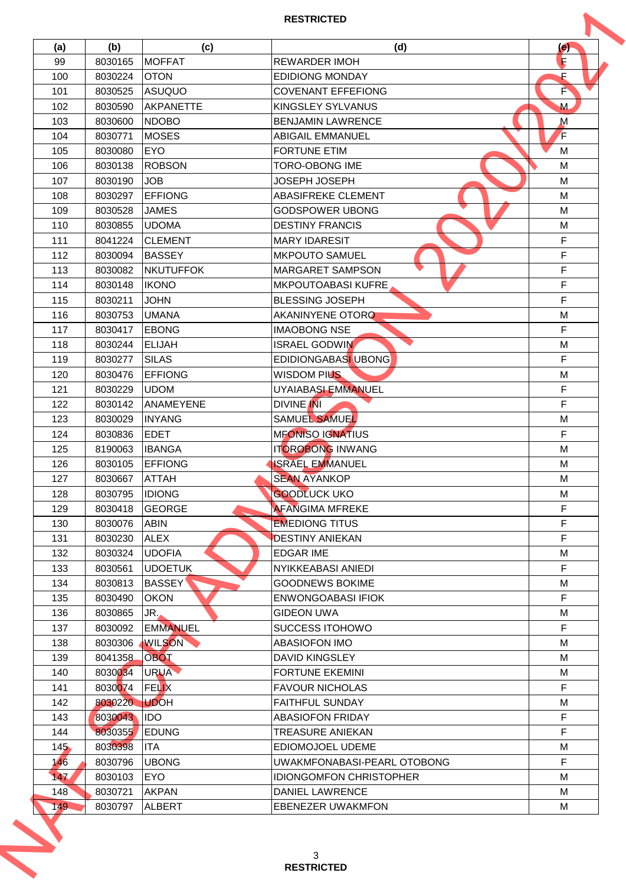| (a)        | (b)     | (c)              | (d)                            | $\left( e\right)$ |
|------------|---------|------------------|--------------------------------|-------------------|
| 99         | 8030165 | <b>MOFFAT</b>    | <b>REWARDER IMOH</b>           | R                 |
| 100        | 8030224 | <b>OTON</b>      | <b>EDIDIONG MONDAY</b>         | F                 |
| 101        | 8030525 | <b>ASUQUO</b>    | <b>COVENANT EFFEFIONG</b>      | F                 |
| 102        | 8030590 | AKPANETTE        | KINGSLEY SYLVANUS              | M                 |
| 103        | 8030600 | <b>NDOBO</b>     | <b>BENJAMIN LAWRENCE</b>       | $\mathsf{M}$      |
| 104        | 8030771 | <b>MOSES</b>     | ABIGAIL EMMANUEL               | F                 |
| 105        | 8030080 | <b>EYO</b>       | <b>FORTUNE ETIM</b>            | M                 |
| 106        | 8030138 | <b>ROBSON</b>    | <b>TORO-OBONG IME</b>          | M                 |
| 107        | 8030190 | <b>JOB</b>       | <b>JOSEPH JOSEPH</b>           | M                 |
| 108        | 8030297 | <b>EFFIONG</b>   | <b>ABASIFREKE CLEMENT</b>      | M                 |
| 109        | 8030528 | <b>JAMES</b>     | GODSPOWER UBONG                | M                 |
| 110        | 8030855 | <b>UDOMA</b>     | <b>DESTINY FRANCIS</b>         | M                 |
| 111        | 8041224 | ICLEMENT         | <b>MARY IDARESIT</b>           | F                 |
| 112        | 8030094 | <b>BASSEY</b>    | IMKPOUTO SAMUEL                | F                 |
| 113        | 8030082 | <b>NKUTUFFOK</b> | <b>MARGARET SAMPSON</b>        | F                 |
| 114        | 8030148 | <b>IKONO</b>     | <b>MKPOUTOABASI KUFRE</b>      | F                 |
| 115        | 8030211 | <b>JOHN</b>      | <b>BLESSING JOSEPH</b>         | F                 |
| 116        | 8030753 | <b>UMANA</b>     | <b>AKANINYENE OTORO</b>        | M                 |
| 117        | 8030417 | <b>EBONG</b>     | <b>IMAOBONG NSE</b>            | F                 |
| 118        | 8030244 | <b>ELIJAH</b>    | <b>ISRAEL GODWIN</b>           | M                 |
| 119        | 8030277 | <b>SILAS</b>     | EDIDIONGABASI UBONG            | F                 |
|            |         |                  |                                |                   |
| 120        | 8030476 | <b>EFFIONG</b>   | <b>WISDOM PIUS</b>             | M                 |
| 121        | 8030229 | <b>UDOM</b>      | UYAIABASI EMMANUEL             | F                 |
| 122        | 8030142 | ANAMEYENE        | <b>DIVINE INI</b>              | F                 |
| 123        | 8030029 | IINYANG          | <b>SAMUEL SAMUEL</b>           | M                 |
| 124        | 8030836 | <b>EDET</b>      | <b>MFONISO IGNATIUS</b>        | F                 |
| 125        | 8190063 | <b>IBANGA</b>    | <b>ITOROBONG INWANG</b>        | M                 |
| 126        | 8030105 | <b>EFFIONG</b>   | <b>ISRAEL EMMANUEL</b>         | M                 |
| 127        | 8030667 | <b>ATTAH</b>     | <b>SEAN AYANKOP</b>            | M                 |
| 128        | 8030795 | <b>IDIONG</b>    | <b>GOODLUCK UKO</b>            | M                 |
| 129        | 8030418 | <b>GEORGE</b>    | <b>AFANGIMA MFREKE</b>         | F                 |
| 130        | 8030076 | <b>ABIN</b>      | <b>EMEDIONG TITUS</b>          | F                 |
| 131        | 8030230 | <b>ALEX</b>      | <b>DESTINY ANIEKAN</b>         | F                 |
| 132        | 8030324 | <b>UDOFIA</b>    | <b>EDGAR IME</b>               | M                 |
| 133        | 8030561 | <b>UDOETUK</b>   | <b>NYIKKEABASI ANIEDI</b>      | F                 |
| 134        | 8030813 | <b>BASSEY</b>    | <b>GOODNEWS BOKIME</b>         | M                 |
| 135        | 8030490 | <b>OKON</b>      | <b>ENWONGOABASI IFIOK</b>      | F                 |
| 136        | 8030865 | JR.,             | <b>GIDEON UWA</b>              | M                 |
| 137        | 8030092 | <b>EMMANUEL</b>  | <b>SUCCESS ITOHOWO</b>         | F.                |
| 138        | 8030306 | <b>WILSON</b>    | <b>ABASIOFON IMO</b>           | M                 |
| 139        | 8041358 | <b>OBOT</b>      | <b>DAVID KINGSLEY</b>          | M                 |
| 140        | 8030034 | URUA <b>V</b>    | <b>FORTUNE EKEMINI</b>         | М                 |
| 141        | 8030074 | <b>FELIX</b>     | <b>FAVOUR NICHOLAS</b>         | F                 |
| 142        | 8030220 | <b>UDOH</b>      | <b>FAITHFUL SUNDAY</b>         | M                 |
| 143        | 8030043 | <b>IDO</b>       | <b>ABASIOFON FRIDAY</b>        | F                 |
| 144        | 8030355 | <b>EDUNG</b>     | <b>TREASURE ANIEKAN</b>        | F                 |
| 145        | 8030398 | IITA             | EDIOMOJOEL UDEME               | м                 |
|            |         |                  |                                | F                 |
| 146        | 8030796 | <b>UBONG</b>     | UWAKMFONABASI-PEARL OTOBONG    |                   |
| 147        | 8030103 | <b>EYO</b>       | <b>IDIONGOMFON CHRISTOPHER</b> | M                 |
| 148<br>149 | 8030721 | <b>AKPAN</b>     | DANIEL LAWRENCE                | M                 |
|            | 8030797 | <b>ALBERT</b>    | <b>EBENEZER UWAKMFON</b>       | м                 |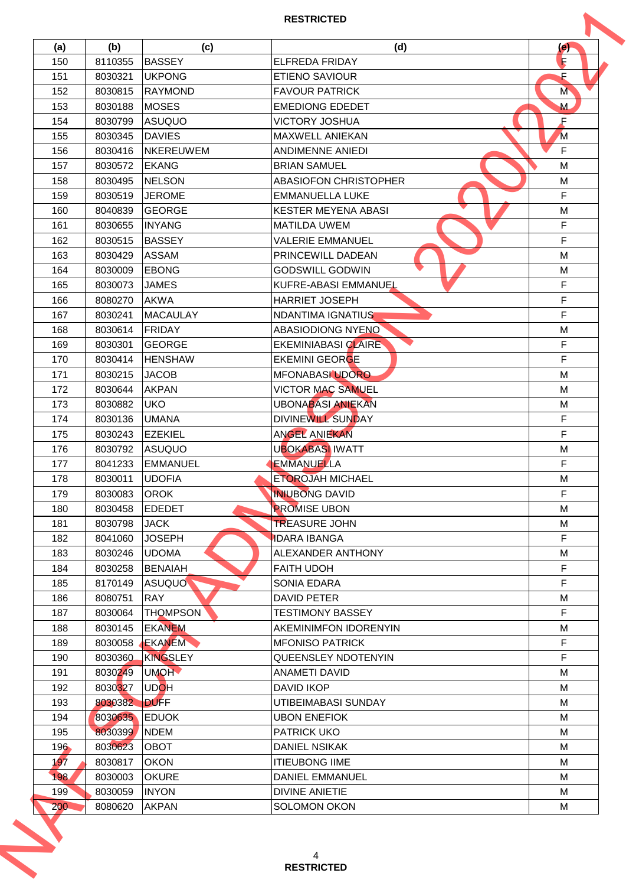|            | (b)                | (c)               | (d)                                      | (e)            |
|------------|--------------------|-------------------|------------------------------------------|----------------|
| (a)<br>150 | 8110355            | <b>BASSEY</b>     | <b>ELFREDA FRIDAY</b>                    | R              |
| 151        | 8030321            | <b>UKPONG</b>     | <b>ETIENO SAVIOUR</b>                    | F              |
| 152        | 8030815            | IRAYMOND          | <b>FAVOUR PATRICK</b>                    | M              |
| 153        | 8030188            | <b>MOSES</b>      | <b>EMEDIONG EDEDET</b>                   | M              |
| 154        | 8030799            | ASUQUO            | <b>VICTORY JOSHUA</b>                    | F              |
| 155        | 8030345            | <b>DAVIES</b>     | MAXWELL ANIEKAN                          | $\overline{M}$ |
|            |                    | <b>INKEREUWEM</b> | ANDIMENNE ANIEDI                         | F              |
| 156        | 8030416            |                   |                                          |                |
| 157        | 8030572            | <b>EKANG</b>      | <b>BRIAN SAMUEL</b>                      | M              |
| 158        | 8030495            | <b>NELSON</b>     | <b>ABASIOFON CHRISTOPHER</b>             | M<br>E         |
| 159        | 8030519            | <b>JEROME</b>     | <b>EMMANUELLA LUKE</b>                   |                |
| 160        | 8040839            | <b>GEORGE</b>     | <b>KESTER MEYENA ABASI</b>               | M              |
| 161        | 8030655            | <b>INYANG</b>     | <b>MATILDA UWEM</b>                      | F              |
| 162        | 8030515            | <b>BASSEY</b>     | <b>VALERIE EMMANUEL</b>                  | F              |
| 163        | 8030429            | <b>ASSAM</b>      | PRINCEWILL DADEAN                        | M              |
| 164        | 8030009            | <b>EBONG</b>      | <b>GODSWILL GODWIN</b>                   | M              |
| 165        | 8030073            | <b>JAMES</b>      | KUFRE-ABASI EMMANUEL                     | F              |
| 166        | 8080270            | <b>AKWA</b>       | <b>HARRIET JOSEPH</b>                    | F              |
| 167        | 8030241            | <b>MACAULAY</b>   | <b>NDANTIMA IGNATIUS</b>                 | F              |
| 168        | 8030614            | FRIDAY            | ABASIODIONG NYENO                        | M              |
| 169        | 8030301            | GEORGE            | <b>EKEMINIABASI CLAIRE</b>               | F              |
| 170        | 8030414            | <b>HENSHAW</b>    | <b>EKEMINI GEORGE</b>                    | F              |
| 171        | 8030215            | <b>JACOB</b>      | MFONABASI UDORO                          | M              |
| 172        | 8030644            | <b>AKPAN</b>      | <b>VICTOR MAC SAMUEL</b>                 | M              |
| 173        | 8030882            | <b>UKO</b>        | <b>UBONABASI ANIEKAN</b>                 | M              |
| 174        | 8030136            | <b>IUMANA</b>     | DIVINEWILL SUNDAY                        | F              |
| 175        | 8030243            | <b>EZEKIEL</b>    | <b>ANGEL ANIEKAN</b>                     | F              |
| 176        | 8030792            | ASUQUO            | <b>UBOKABASI IWATT</b>                   | M              |
| 177        | 8041233            | EMMANUEL          | <b>EMMANUELLA</b>                        | F              |
| 178        | 8030011            | <b>UDOFIA</b>     | <b>ETOROJAH MICHAEL</b>                  | M              |
| 179        | 8030083            | <b>OROK</b>       | <b>INIUBONG DAVID</b>                    | F              |
| 180        | 8030458            | EDEDET            | <b>PROMISE UBON</b>                      | M              |
| 181        | 8030798            | <b>JACK</b>       | <b>TREASURE JOHN</b>                     | M              |
| 182        | 8041060            | <b>JOSEPH</b>     | <b>IDARA IBANGA</b>                      | F              |
| 183        | 8030246            | <b>UDOMA</b>      | <b>ALEXANDER ANTHONY</b>                 | M              |
| 184        | 8030258            | <b>BENAIAH</b>    | <b>FAITH UDOH</b>                        | F              |
|            |                    | <b>ASUQUO</b>     |                                          | F              |
| 185        | 8170149<br>8080751 |                   | <b>SONIA EDARA</b><br><b>DAVID PETER</b> |                |
| 186        |                    | <b>RAY</b>        |                                          | M<br>F         |
| 187        | 8030064            | <b>THOMPSON</b>   | <b>TESTIMONY BASSEY</b>                  |                |
| 188        | 8030145            | <b>EKANEM</b>     | IAKEMINIMFON IDORENYIN                   | м              |
| 189        | 8030058            | EKANEM            | <b>MFONISO PATRICK</b>                   | F.             |
| 190        | 8030360            | KINGSLEY          | <b>QUEENSLEY NDOTENYIN</b>               | F              |
| 191        | 8030249            | <b>UMOH</b>       | <b>ANAMETI DAVID</b>                     | М              |
| 192        | 8030327            | <b>UDOH</b>       | <b>DAVID IKOP</b>                        | м              |
| 193        | 8030382            | <b>DUFF</b>       | UTIBEIMABASI SUNDAY                      | М              |
| 194        | 8030635            | <b>EDUOK</b>      | <b>UBON ENEFIOK</b>                      | М              |
| 195        | 8030399            | <b>NDEM</b>       | <b>PATRICK UKO</b>                       | M              |
| 196        | 8030623            | <b>OBOT</b>       | <b>DANIEL NSIKAK</b>                     | м              |
| 197        | 8030817            | <b>OKON</b>       | <b>ITIEUBONG IIME</b>                    | M              |
| 198        | 8030003            | <b>OKURE</b>      | <b>DANIEL EMMANUEL</b>                   | M              |
|            | 8030059            | <b>INYON</b>      | <b>DIVINE ANIETIE</b>                    | M              |
| 199        | 8080620            | <b>AKPAN</b>      | <b>SOLOMON OKON</b>                      | М              |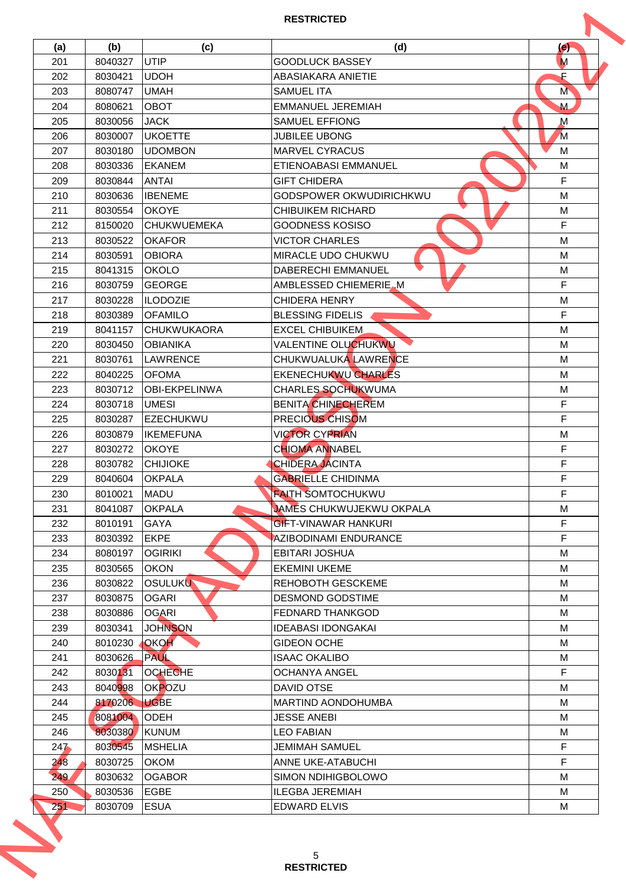| (a) | (b)     | (c)                  | (d)                            | (e)            |
|-----|---------|----------------------|--------------------------------|----------------|
| 201 | 8040327 | <b>UTIP</b>          | <b>GOODLUCK BASSEY</b>         | M              |
| 202 | 8030421 | <b>UDOH</b>          | ABASIAKARA ANIETIE             | F              |
| 203 | 8080747 | <b>UMAH</b>          | <b>SAMUEL ITA</b>              | M              |
| 204 | 8080621 | <b>OBOT</b>          | <b>EMMANUEL JEREMIAH</b>       | M              |
| 205 | 8030056 | <b>JACK</b>          | <b>SAMUEL EFFIONG</b>          | $\mathsf{M}$   |
| 206 | 8030007 | <b>UKOETTE</b>       | <b>JUBILEE UBONG</b>           | $\overline{M}$ |
| 207 | 8030180 | <b>UDOMBON</b>       | <b>IMARVEL CYRACUS</b>         | M              |
| 208 | 8030336 | <b>EKANEM</b>        | ETIENOABASI EMMANUEL           | M              |
| 209 | 8030844 | <b>ANTAI</b>         | <b>GIFT CHIDERA</b>            | F              |
| 210 | 8030636 | <b>IBENEME</b>       | <b>GODSPOWER OKWUDIRICHKWU</b> | M              |
| 211 | 8030554 | <b>OKOYE</b>         | <b>CHIBUIKEM RICHARD</b>       | M              |
| 212 | 8150020 | <b>CHUKWUEMEKA</b>   | <b>GOODNESS KOSISO</b>         | F              |
| 213 | 8030522 | <b>OKAFOR</b>        | <b>VICTOR CHARLES</b>          | M              |
| 214 | 8030591 | <b>IOBIORA</b>       | <b>MIRACLE UDO CHUKWU</b>      | M              |
| 215 | 8041315 | <b>OKOLO</b>         | <b>DABERECHI EMMANUEL</b>      | M              |
| 216 | 8030759 | <b>GEORGE</b>        | AMBLESSED CHIEMERIE.M          | F              |
| 217 | 8030228 | <b>ILODOZIE</b>      | <b>CHIDERA HENRY</b>           | M              |
| 218 | 8030389 | <b>OFAMILO</b>       | <b>BLESSING FIDELIS</b>        | F              |
| 219 | 8041157 | <b>CHUKWUKAORA</b>   | <b>EXCEL CHIBUIKEM</b>         | M              |
| 220 | 8030450 | <b>OBIANIKA</b>      | <b>VALENTINE OLUCHUKWU</b>     | M              |
| 221 | 8030761 | <b>LAWRENCE</b>      | CHUKWUALUKA LAWRENCE           | M              |
| 222 | 8040225 | <b>OFOMA</b>         | EKENECHUKWU CHARLES            | M              |
| 223 | 8030712 | <b>OBI-EKPELINWA</b> | <b>CHARLES SOCHUKWUMA</b>      | M              |
| 224 | 8030718 | <b>UMESI</b>         | <b>BENITA CHINECHEREM</b>      | F              |
| 225 | 8030287 | IEZECHUKWU           | PRECIOUS CHISOM                | F              |
| 226 | 8030879 | <b>IKEMEFUNA</b>     | <b>VICTOR CYPRIAN</b>          | M              |
| 227 | 8030272 | <b>IOKOYE</b>        | <b>CHIOMA ANNABEL</b>          | F              |
| 228 | 8030782 | <b>CHIJIOKE</b>      | <b>CHIDERA JACINTA</b>         | F              |
| 229 | 8040604 | <b>OKPALA</b>        | <b>GABRIELLE CHIDINMA</b>      | F              |
| 230 | 8010021 | <b>MADU</b>          | <b>FAITH SOMTOCHUKWU</b>       | F              |
| 231 | 8041087 | <b>OKPALA</b>        | JAMES CHUKWUJEKWU OKPALA       | M              |
| 232 | 8010191 | <b>GAYA</b>          | <b>GIFT-VINAWAR HANKURI</b>    | F              |
| 233 | 8030392 | <b>EKPE</b>          | AZIBODINAMI ENDURANCE          | F              |
| 234 | 8080197 | <b>OGIRIKI</b>       | <b>EBITARI JOSHUA</b>          | M              |
| 235 | 8030565 | <b>OKON</b>          | <b>EKEMINI UKEME</b>           | M              |
| 236 | 8030822 | <b>OSULUKU</b>       | <b>REHOBOTH GESCKEME</b>       | М              |
| 237 | 8030875 | <b>OGARI</b>         | <b>DESMOND GODSTIME</b>        | M              |
| 238 | 8030886 | <b>OGARI</b>         | <b>FEDNARD THANKGOD</b>        | M              |
| 239 | 8030341 | <b>JOHNSON</b>       | <b>IDEABASI IDONGAKAI</b>      | м              |
| 240 | 8010230 | OKOH                 | <b>GIDEON OCHE</b>             | M              |
| 241 | 8030626 | PAUL                 | <b>ISAAC OKALIBO</b>           | M              |
| 242 | 8030131 | <b>OCHECHE</b>       | <b>OCHANYA ANGEL</b>           | F.             |
| 243 | 8040998 | OKPOZU               | DAVID OTSE                     | м              |
| 244 | 8170206 | <b>UGBE</b>          | <b>MARTIND AONDOHUMBA</b>      | M              |
| 245 | 8081004 | <b>ODEH</b>          | <b>JESSE ANEBI</b>             | м              |
| 246 | 8030380 | <b>KUNUM</b>         | <b>LEO FABIAN</b>              | M              |
| 247 | 8030545 | <b>MSHELIA</b>       | <b>JEMIMAH SAMUEL</b>          | F.             |
| 248 | 8030725 | <b>OKOM</b>          | <b>ANNE UKE-ATABUCHI</b>       | F              |
| 249 | 8030632 | <b>OGABOR</b>        | SIMON NDIHIGBOLOWO             | M              |
| 250 | 8030536 | <b>EGBE</b>          | <b>ILEGBA JEREMIAH</b>         | M              |
|     | 8030709 | <b>ESUA</b>          | <b>EDWARD ELVIS</b>            | м              |
| 251 |         |                      |                                |                |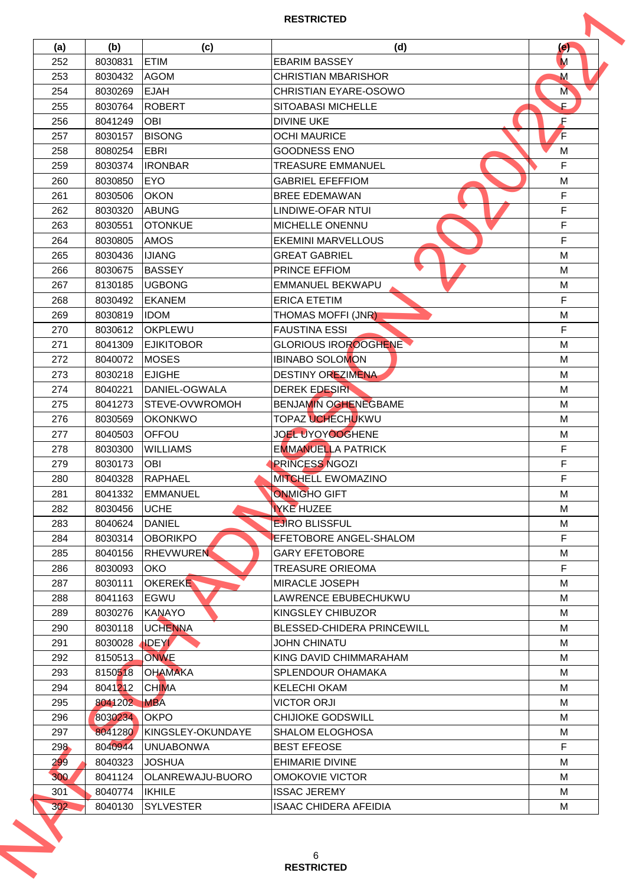|            |         |                              | <b>RESTRICTED</b>                 |     |
|------------|---------|------------------------------|-----------------------------------|-----|
| (a)        | (b)     | (c)                          | (d)                               | (e) |
| 252        | 8030831 | <b>ETIM</b>                  | <b>EBARIM BASSEY</b>              | M   |
| 253        | 8030432 | <b>AGOM</b>                  | <b>CHRISTIAN MBARISHOR</b>        | M   |
| 254        | 8030269 | <b>EJAH</b>                  | CHRISTIAN EYARE-OSOWO             | M   |
| 255        | 8030764 | <b>ROBERT</b>                | SITOABASI MICHELLE                | E   |
| 256        | 8041249 | <b>OBI</b>                   | <b>DIVINE UKE</b>                 | F   |
| 257        | 8030157 | <b>BISONG</b>                | <b>OCHI MAURICE</b>               | F   |
| 258        | 8080254 | <b>EBRI</b>                  | <b>GOODNESS ENO</b>               | M   |
| 259        | 8030374 | <b>IRONBAR</b>               | <b>TREASURE EMMANUEL</b>          | F   |
| 260        | 8030850 | <b>EYO</b>                   | <b>GABRIEL EFEFFIOM</b>           | M   |
| 261        | 8030506 | <b>OKON</b>                  | <b>BREE EDEMAWAN</b>              | F   |
| 262        | 8030320 | ABUNG                        | LINDIWE-OFAR NTUI                 | F   |
| 263        | 8030551 | <b>OTONKUE</b>               | MICHELLE ONENNU                   | F   |
| 264        | 8030805 | <b>AMOS</b>                  | <b>EKEMINI MARVELLOUS</b>         | F   |
| 265        | 8030436 | <b>IJIANG</b>                | <b>GREAT GABRIEL</b>              | M   |
| 266        | 8030675 | <b>BASSEY</b>                | PRINCE EFFIOM                     | M   |
|            |         | <b>UGBONG</b>                | EMMANUEL BEKWAPU                  | M   |
| 267        | 8130185 |                              | <b>ERICA ETETIM</b>               | F   |
| 268        | 8030492 | <b>EKANEM</b><br><b>IDOM</b> | THOMAS MOFFI (JNR)                |     |
| 269        | 8030819 |                              |                                   | M   |
| 270        | 8030612 | <b>OKPLEWU</b>               | <b>FAUSTINA ESSI</b>              | F   |
| 271        | 8041309 | <b>EJIKITOBOR</b>            | <b>GLORIOUS IROROOGHENE</b>       | M   |
| 272        | 8040072 | <b>MOSES</b>                 | <b>IBINABO SOLOMON</b>            | M   |
| 273        | 8030218 | <b>EJIGHE</b>                | <b>DESTINY OREZIMENA</b>          | M   |
| 274        | 8040221 | DANIEL-OGWALA                | <b>DEREK EDESIRI</b>              | M   |
| 275        | 8041273 | STEVE-OVWROMOH               | <b>BENJAMIN OGHENEGBAME</b>       | M   |
| 276        | 8030569 | IOKONKWO                     | <b>TOPAZ UCHECHUKWU</b>           | м   |
| 277        | 8040503 | OFFOU                        | JOEL UYOYOOGHENE                  | M   |
| 278        | 8030300 | <b>WILLIAMS</b>              | <b>EMMANUELLA PATRICK</b>         | F   |
| 279        | 8030173 | <b>OBI</b>                   | <b>PRINCESS NGOZI</b>             | F   |
| 280        | 8040328 | <b>RAPHAEL</b>               | <b>MITCHELL EWOMAZINO</b>         | F   |
| 281        | 8041332 | <b>EMMANUEL</b>              | <b>ONMIGHO GIFT</b>               | М   |
| 282        | 8030456 | <b>UCHE</b>                  | <b>IYKE HUZEE</b>                 | м   |
| 283        | 8040624 | <b>DANIEL</b>                | <b>EJIRO BLISSFUL</b>             | M   |
| 284        | 8030314 | <b>OBORIKPO</b>              | <b>EFETOBORE ANGEL-SHALOM</b>     | F   |
| 285        | 8040156 | <b>RHEVWUREN</b>             | <b>GARY EFETOBORE</b>             | M   |
| 286        | 8030093 | <b>OKO</b>                   | <b>TREASURE ORIEOMA</b>           | F   |
| 287        | 8030111 | <b>OKEREKE</b>               | <b>MIRACLE JOSEPH</b>             | M   |
| 288        | 8041163 | EGWU                         | LAWRENCE EBUBECHUKWU              | M   |
| 289        | 8030276 | <b>KANAYO</b>                | KINGSLEY CHIBUZOR                 | M   |
|            |         |                              |                                   |     |
| 290        | 8030118 | IUCHENNA                     | <b>BLESSED-CHIDERA PRINCEWILL</b> | М   |
| 291        | 8030028 | <b>IDEY</b>                  | <b>JOHN CHINATU</b>               | M   |
| 292        | 8150513 | <b>ONWE</b>                  | KING DAVID CHIMMARAHAM            | M   |
| 293        | 8150518 | <b>OHAMAKA</b>               | <b>SPLENDOUR OHAMAKA</b>          | М   |
| 294        | 8041212 | <b>CHIMA</b>                 | <b>KELECHI OKAM</b>               | м   |
| 295        | 8041202 | <b>MBA</b>                   | <b>VICTOR ORJI</b>                | M   |
| 296        | 8030234 | <b>OKPO</b>                  | <b>CHIJIOKE GODSWILL</b>          | м   |
| 297        | 8041280 | KINGSLEY-OKUNDAYE            | <b>SHALOM ELOGHOSA</b>            | M   |
| 298        | 8040944 | IUNUABONWA                   | <b>BEST EFEOSE</b>                | F   |
| <b>299</b> | 8040323 | <b>JOSHUA</b>                | <b>EHIMARIE DIVINE</b>            | M   |
| 300        | 8041124 | OLANREWAJU-BUORO             | <b>OMOKOVIE VICTOR</b>            | M   |
| 301        | 8040774 | IKHILE                       | <b>ISSAC JEREMY</b>               | М   |
| 302        | 8040130 | <b>SYLVESTER</b>             | <b>ISAAC CHIDERA AFEIDIA</b>      | м   |
|            |         |                              |                                   |     |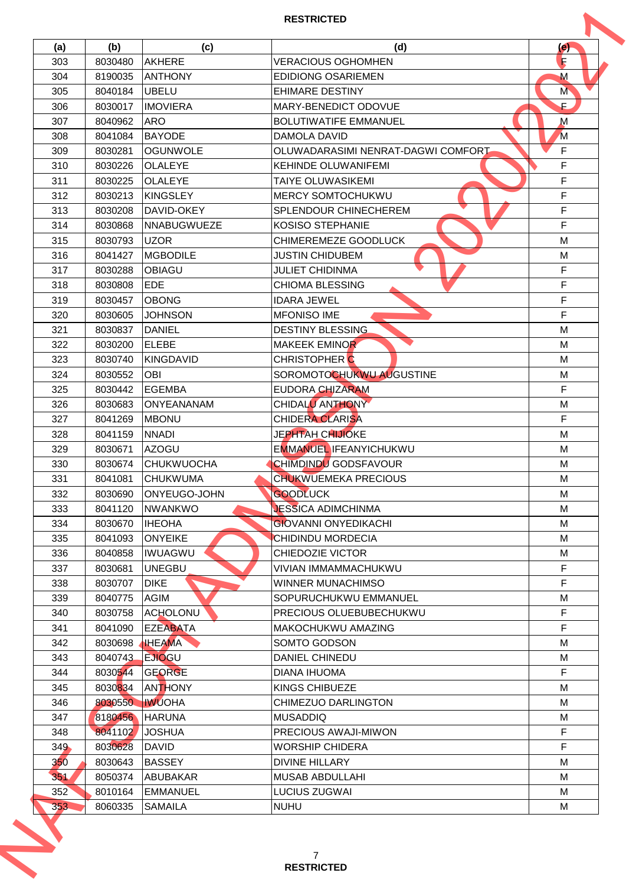| (a)<br>303<br>304<br>305<br>306<br>307<br>308<br>309<br>310 | (b)<br>8030480<br>8190035<br>8040184<br>8030017 | (c)<br><b>AKHERE</b><br><b>ANTHONY</b> | (d)<br><b>VERACIOUS OGHOMHEN</b><br><b>EDIDIONG OSARIEMEN</b> | $\left( e\right)$<br>R<br>M |
|-------------------------------------------------------------|-------------------------------------------------|----------------------------------------|---------------------------------------------------------------|-----------------------------|
|                                                             |                                                 |                                        |                                                               |                             |
|                                                             |                                                 |                                        |                                                               |                             |
|                                                             |                                                 |                                        |                                                               |                             |
|                                                             |                                                 | <b>UBELU</b>                           | <b>EHIMARE DESTINY</b>                                        | M                           |
|                                                             |                                                 | <b>IMOVIERA</b>                        | MARY-BENEDICT ODOVUE                                          | E.                          |
|                                                             | 8040962                                         | <b>ARO</b>                             | <b>BOLUTIWATIFE EMMANUEL</b>                                  | $\mathsf{M}$                |
|                                                             | 8041084                                         | <b>BAYODE</b>                          | DAMOLA DAVID                                                  | $\overline{M}$              |
|                                                             | 8030281                                         | <b>OGUNWOLE</b>                        | OLUWADARASIMI NENRAT-DAGWI COMFORT                            | F                           |
|                                                             | 8030226                                         | <b>OLALEYE</b>                         | <b>KEHINDE OLUWANIFEMI</b>                                    | F                           |
| 311                                                         | 8030225                                         | <b>OLALEYE</b>                         | <b>TAIYE OLUWASIKEMI</b>                                      | F                           |
| 312                                                         | 8030213                                         | <b>KINGSLEY</b>                        | <b>MERCY SOMTOCHUKWU</b>                                      | F                           |
| 313                                                         | 8030208                                         | IDAVID-OKEY                            | <b>SPLENDOUR CHINECHEREM</b>                                  | F                           |
| 314                                                         | 8030868                                         | NNABUGWUEZE                            | <b>KOSISO STEPHANIE</b>                                       | F                           |
| 315                                                         | 8030793                                         | <b>UZOR</b>                            | CHIMEREMEZE GOODLUCK                                          | M                           |
| 316                                                         | 8041427                                         | <b>MGBODILE</b>                        | <b>JUSTIN CHIDUBEM</b>                                        | M                           |
| 317                                                         | 8030288                                         | OBIAGU                                 | <b>JULIET CHIDINMA</b>                                        | F                           |
| 318                                                         | 8030808                                         | <b>EDE</b>                             | <b>CHIOMA BLESSING</b>                                        | F                           |
| 319                                                         | 8030457                                         | <b>OBONG</b>                           | <b>IDARA JEWEL</b>                                            | F                           |
| 320                                                         | 8030605                                         | <b>JOHNSON</b>                         | <b>MFONISO IME</b>                                            | F                           |
| 321                                                         | 8030837                                         | <b>DANIEL</b>                          | <b>DESTINY BLESSING</b>                                       | M                           |
| 322                                                         | 8030200                                         | <b>ELEBE</b>                           | MAKEEK EMINOR                                                 | M                           |
| 323                                                         | 8030740                                         | KINGDAVID                              | <b>CHRISTOPHER C</b>                                          | M                           |
| 324                                                         | 8030552                                         | <b>OBI</b>                             | SOROMOTOCHUKWU AUGUSTINE                                      | M                           |
| 325                                                         | 8030442                                         | <b>EGEMBA</b>                          | <b>EUDORA CHIZARAM</b>                                        | F                           |
| 326                                                         | 8030683                                         | <b>ONYEANANAM</b>                      | CHIDALU ANTHONY                                               | M                           |
| 327                                                         | 8041269                                         | <b>IMBONU</b>                          | <b>CHIDERA CLARISA</b>                                        | F                           |
| 328                                                         | 8041159                                         | <b>NNADI</b>                           | <b>JEPHTAH CHIJIOKE</b>                                       | M                           |
| 329                                                         | 8030671                                         | lAZOGU                                 | <b>EMMANUEL IFEANYICHUKWU</b>                                 | M                           |
| 330                                                         | 8030674                                         | ICHUKWUOCHA                            | <b>CHIMDINDU GODSFAVOUR</b>                                   | M                           |
| 331                                                         | 8041081                                         | <b>CHUKWUMA</b>                        | <b>CHUKWUEMEKA PRECIOUS</b>                                   | M                           |
| 332                                                         | 8030690                                         | ONYEUGO-JOHN                           | <b>GOODLUCK</b>                                               | м                           |
| 333                                                         | 8041120                                         | <b>NWANKWO</b>                         | <b>JESSICA ADIMCHINMA</b>                                     | м                           |
| 334                                                         | 8030670                                         | <b>IHEOHA</b>                          | <b>GIOVANNI ONYEDIKACHI</b>                                   | M                           |
| 335                                                         |                                                 | <b>ONYEIKE</b>                         | CHIDINDU MORDECIA                                             | М                           |
|                                                             | 8041093                                         |                                        |                                                               |                             |
| 336                                                         | 8040858                                         | IWUAGWU                                | CHIEDOZIE VICTOR                                              | M                           |
| 337                                                         | 8030681                                         | lunegbu                                | <b>VIVIAN IMMAMMACHUKWU</b>                                   | F                           |
| 338                                                         | 8030707                                         | <b>DIKE</b>                            | <b>WINNER MUNACHIMSO</b>                                      | F                           |
| 339                                                         | 8040775                                         | <b>AGIM</b>                            | SOPURUCHUKWU EMMANUEL                                         | M                           |
| 340                                                         | 8030758                                         | <b>ACHOLONU</b>                        | PRECIOUS OLUEBUBECHUKWU                                       | F                           |
| 341                                                         | 8041090                                         | <b>EZEABATA</b>                        | <b>MAKOCHUKWU AMAZING</b>                                     | F.                          |
| 342                                                         | 8030698                                         | <b>IHEAMA</b>                          | SOMTO GODSON                                                  | м                           |
| 343                                                         | 8040743                                         | <b>LEJIOGU</b>                         | <b>DANIEL CHINEDU</b>                                         | M                           |
| 344                                                         | 8030544                                         | <b>GEORGE</b>                          | DIANA IHUOMA                                                  | F                           |
| 345                                                         | 8030834                                         | <b>ANTHONY</b>                         | <b>KINGS CHIBUEZE</b>                                         | м                           |
| 346                                                         | 8030550                                         | <b>IWUOHA</b>                          | CHIMEZUO DARLINGTON                                           | М                           |
| 347                                                         | 8180456                                         | <b>HARUNA</b>                          | <b>MUSADDIQ</b>                                               | M                           |
| 348                                                         | 8041102                                         | <b>JOSHUA</b>                          | PRECIOUS AWAJI-MIWON                                          | F                           |
| 349                                                         | 8030628                                         | <b>DAVID</b>                           | <b>WORSHIP CHIDERA</b>                                        | F                           |
| 350                                                         | 8030643                                         | <b>BASSEY</b>                          | <b>DIVINE HILLARY</b>                                         | M                           |
| 351                                                         | 8050374                                         | ABUBAKAR                               | <b>MUSAB ABDULLAHI</b>                                        | M                           |
| 352                                                         | 8010164                                         | EMMANUEL                               | <b>LUCIUS ZUGWAI</b>                                          | М                           |
| 353                                                         | 8060335                                         | <b>SAMAILA</b>                         | <b>NUHU</b>                                                   | м                           |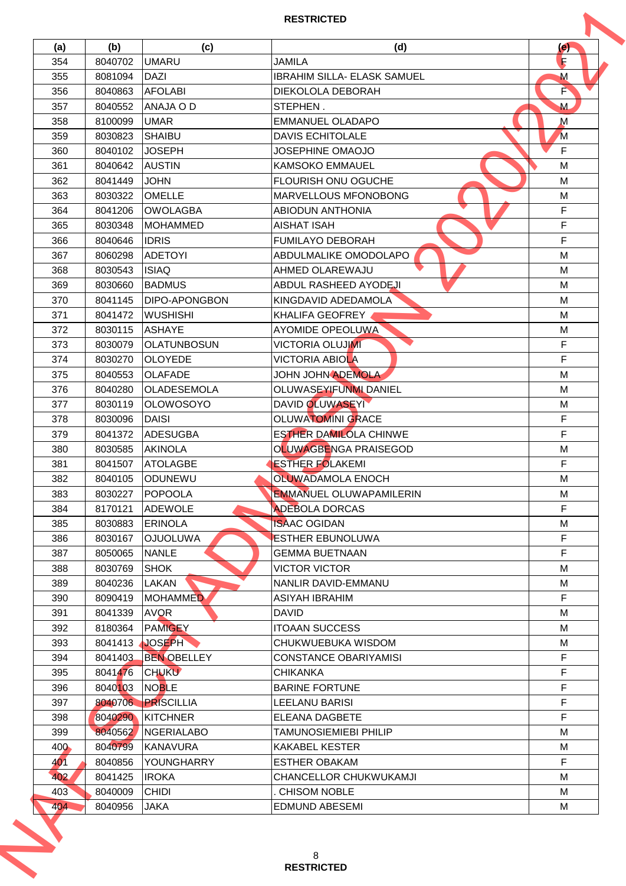| (a) | (b)     | (c)                  | (d)                                          | $\left( e\right)$ |
|-----|---------|----------------------|----------------------------------------------|-------------------|
| 354 | 8040702 | <b>UMARU</b>         | <b>JAMILA</b>                                | R                 |
| 355 | 8081094 | <b>DAZI</b>          | <b>IBRAHIM SILLA- ELASK SAMUEL</b>           | M                 |
| 356 | 8040863 | <b>AFOLABI</b>       | DIEKOLOLA DEBORAH                            | F                 |
| 357 | 8040552 | ANAJA O D            | STEPHEN.                                     | M                 |
| 358 | 8100099 | <b>UMAR</b>          | EMMANUEL OLADAPO                             | $\mathsf{M}$      |
| 359 | 8030823 | SHAIBU               | <b>DAVIS ECHITOLALE</b>                      | $\overline{M}$    |
| 360 | 8040102 | <b>JOSEPH</b>        | <b>JOSEPHINE OMAOJO</b>                      | F                 |
| 361 | 8040642 | <b>AUSTIN</b>        | <b>KAMSOKO EMMAUEL</b>                       | M                 |
| 362 | 8041449 | <b>JOHN</b>          | <b>FLOURISH ONU OGUCHE</b>                   | M                 |
| 363 | 8030322 | <b>OMELLE</b>        | <b>MARVELLOUS MFONOBONG</b>                  | M                 |
| 364 | 8041206 | IOWOLAGBA            | <b>ABIODUN ANTHONIA</b>                      | F.                |
| 365 | 8030348 | MOHAMMED             | <b>AISHAT ISAH</b>                           | F                 |
| 366 | 8040646 | <b>IDRIS</b>         | <b>FUMILAYO DEBORAH</b>                      | F                 |
| 367 | 8060298 | <b>ADETOYI</b>       | IABDULMALIKE OMODOLAPO                       | M                 |
| 368 | 8030543 | <b>ISIAQ</b>         | AHMED OLAREWAJU                              | M                 |
| 369 | 8030660 | <b>BADMUS</b>        | ABDUL RASHEED AYODEJI                        | M                 |
| 370 | 8041145 | <b>DIPO-APONGBON</b> | KINGDAVID ADEDAMOLA                          | M                 |
| 371 | 8041472 | <b>WUSHISHI</b>      | KHALIFA GEOFREY                              | M                 |
| 372 | 8030115 | IASHAYE              | AYOMIDE OPEOLUWA                             | M                 |
| 373 | 8030079 | <b>OLATUNBOSUN</b>   | <b>VICTORIA OLUJIMI</b>                      | F                 |
| 374 | 8030270 | <b>OLOYEDE</b>       | <b>VICTORIA ABIOLA</b>                       | F                 |
| 375 | 8040553 | <b>IOLAFADE</b>      | JOHN JOHN ADEMOLA                            | M                 |
| 376 | 8040280 | <b>OLADESEMOLA</b>   | OLUWASEYIFUNMI DANIEL                        | M                 |
| 377 | 8030119 | <b>OLOWOSOYO</b>     | <b>DAVID OLUWASEYI</b>                       | M                 |
| 378 | 8030096 | DAISI                | <b>OLUWATOMINI GRACE</b>                     | F                 |
| 379 | 8041372 | ADESUGBA             | <b>ESTHER DAMILOLA CHINWE</b>                | F                 |
| 380 | 8030585 | <b>AKINOLA</b>       | OLUWAGBENGA PRAISEGOD                        | M                 |
| 381 | 8041507 | <b>ATOLAGBE</b>      | <b>ESTHER FOLAKEMI</b>                       | F                 |
| 382 | 8040105 | <b>ODUNEWU</b>       | <b>OLUWADAMOLA ENOCH</b>                     | M                 |
| 383 | 8030227 | POPOOLA              | <b>EMMANUEL OLUWAPAMILERIN</b>               | M                 |
| 384 | 8170121 | <b>ADEWOLE</b>       | <b>ADEBOLA DORCAS</b>                        | F                 |
| 385 | 8030883 | <b>ERINOLA</b>       | <b>ISAAC OGIDAN</b>                          | M                 |
| 386 | 8030167 | <b>OJUOLUWA</b>      | <b>ESTHER EBUNOLUWA</b>                      | F                 |
|     | 8050065 | <b>NANLE</b>         | <b>GEMMA BUETNAAN</b>                        | F                 |
| 387 |         |                      |                                              |                   |
| 388 | 8030769 | <b>SHOK</b>          | <b>VICTOR VICTOR</b>                         | M                 |
| 389 | 8040236 | LAKAN                | NANLIR DAVID-EMMANU<br><b>ASIYAH IBRAHIM</b> | м<br>F.           |
| 390 | 8090419 | <b>MOHAMMED</b>      |                                              |                   |
| 391 | 8041339 | <b>AVQR</b>          | <b>DAVID</b>                                 | M                 |
| 392 | 8180364 | <b>PAMIGEY</b>       | <b>ITOAAN SUCCESS</b>                        | м                 |
| 393 | 8041413 | <b>JOSEPH</b>        | CHUKWUEBUKA WISDOM                           | M                 |
| 394 | 8041403 | <b>BEN OBELLEY</b>   | <b>CONSTANCE OBARIYAMISI</b>                 | F                 |
| 395 | 8041476 | <b>CHUKU</b>         | <b>CHIKANKA</b>                              | F                 |
| 396 | 8040103 | NOBLE                | <b>BARINE FORTUNE</b>                        | F                 |
| 397 | 8040706 | PRISCILLIA           | LEELANU BARISI                               | F                 |
| 398 | 8040290 | <b>KITCHNER</b>      | ELEANA DAGBETE                               | F                 |
| 399 | 8040562 | <b>INGERIALABO</b>   | <b>TAMUNOSIEMIEBI PHILIP</b>                 | M                 |
| 400 | 8040799 | <b>KANAVURA</b>      | <b>KAKABEL KESTER</b>                        | м                 |
| 401 | 8040856 | YOUNGHARRY           | <b>ESTHER OBAKAM</b>                         | F.                |
| 402 | 8041425 | <b>IROKA</b>         | CHANCELLOR CHUKWUKAMJI                       | М                 |
| 403 | 8040009 | <b>CHIDI</b>         | <b>CHISOM NOBLE</b>                          | М                 |
| 404 | 8040956 | <b>JAKA</b>          | <b>EDMUND ABESEMI</b>                        | М                 |